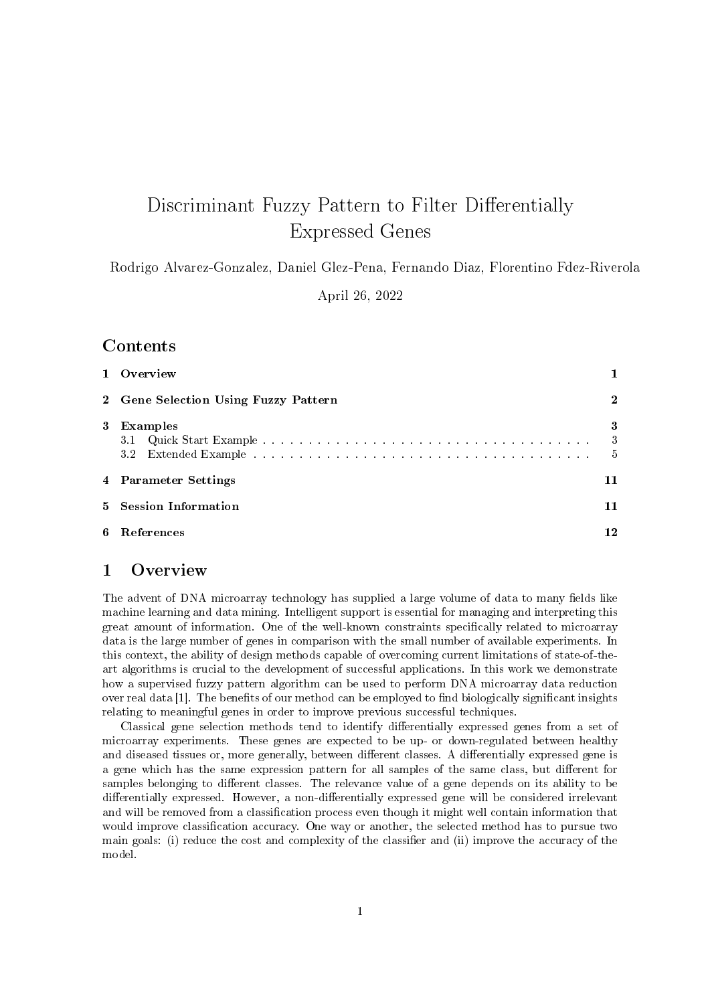# Discriminant Fuzzy Pattern to Filter Differentially Expressed Genes

Rodrigo Alvarez-Gonzalez, Daniel Glez-Pena, Fernando Diaz, Florentino Fdez-Riverola

April 26, 2022

# **Contents**

| 1 Overview                           |                                      |
|--------------------------------------|--------------------------------------|
| 2 Gene Selection Using Fuzzy Pattern | $\mathbf 2$                          |
| 3 Examples                           | 3<br>$\overline{\phantom{a}}$<br>- 5 |
| 4 Parameter Settings                 | 11                                   |
| 5 Session Information                | 11                                   |
| 6 References                         | 12                                   |

# 1 Overview

The advent of DNA microarray technology has supplied a large volume of data to many fields like machine learning and data mining. Intelligent support is essential for managing and interpreting this great amount of information. One of the well-known constraints specifically related to microarray data is the large number of genes in comparison with the small number of available experiments. In this context, the ability of design methods capable of overcoming current limitations of state-of-theart algorithms is crucial to the development of successful applications. In this work we demonstrate how a supervised fuzzy pattern algorithm can be used to perform DNA microarray data reduction over real data [1]. The benefits of our method can be employed to find biologically significant insights relating to meaningful genes in order to improve previous successful techniques.

Classical gene selection methods tend to identify dierentially expressed genes from a set of microarray experiments. These genes are expected to be up- or down-regulated between healthy and diseased tissues or, more generally, between different classes. A differentially expressed gene is a gene which has the same expression pattern for all samples of the same class, but different for samples belonging to different classes. The relevance value of a gene depends on its ability to be differentially expressed. However, a non-differentially expressed gene will be considered irrelevant and will be removed from a classification process even though it might well contain information that would improve classification accuracy. One way or another, the selected method has to pursue two main goals: (i) reduce the cost and complexity of the classifier and (ii) improve the accuracy of the model.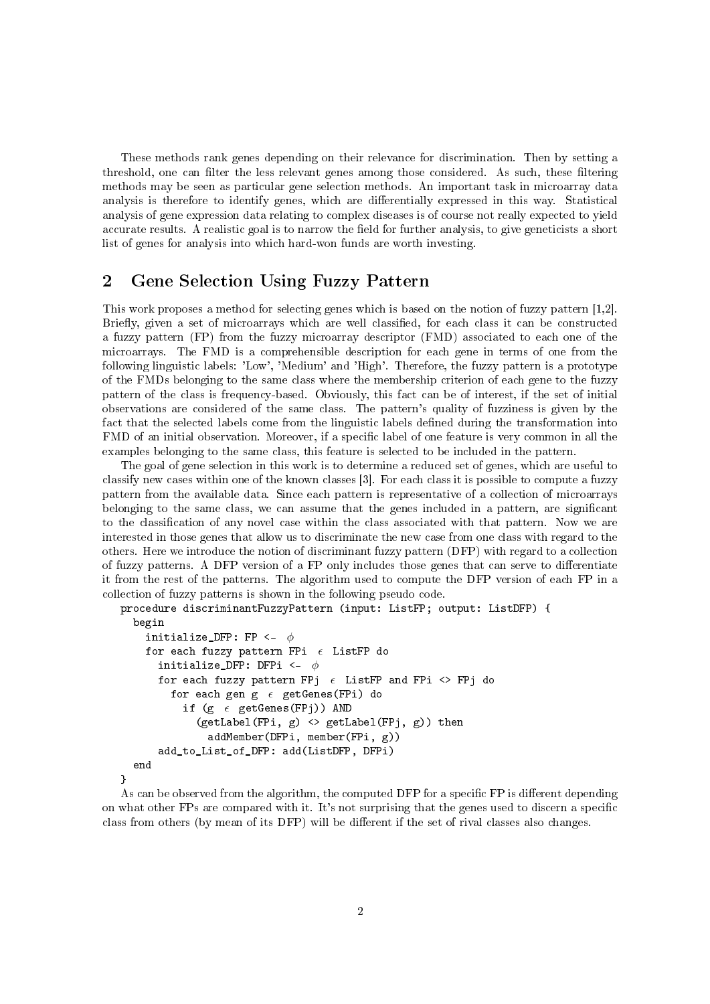These methods rank genes depending on their relevance for discrimination. Then by setting a threshold, one can filter the less relevant genes among those considered. As such, these filtering methods may be seen as particular gene selection methods. An important task in microarray data analysis is therefore to identify genes, which are differentially expressed in this way. Statistical analysis of gene expression data relating to complex diseases is of course not really expected to yield accurate results. A realistic goal is to narrow the field for further analysis, to give geneticists a short list of genes for analysis into which hard-won funds are worth investing.

## 2 Gene Selection Using Fuzzy Pattern

This work proposes a method for selecting genes which is based on the notion of fuzzy pattern [1,2]. Briefly, given a set of microarrays which are well classified, for each class it can be constructed a fuzzy pattern (FP) from the fuzzy microarray descriptor (FMD) associated to each one of the microarrays. The FMD is a comprehensible description for each gene in terms of one from the following linguistic labels: 'Low', 'Medium' and 'High'. Therefore, the fuzzy pattern is a prototype of the FMDs belonging to the same class where the membership criterion of each gene to the fuzzy pattern of the class is frequency-based. Obviously, this fact can be of interest, if the set of initial observations are considered of the same class. The pattern's quality of fuzziness is given by the fact that the selected labels come from the linguistic labels dened during the transformation into FMD of an initial observation. Moreover, if a specific label of one feature is very common in all the examples belonging to the same class, this feature is selected to be included in the pattern.

The goal of gene selection in this work is to determine a reduced set of genes, which are useful to classify new cases within one of the known classes [3]. For each class it is possible to compute a fuzzy pattern from the available data. Since each pattern is representative of a collection of microarrays belonging to the same class, we can assume that the genes included in a pattern, are signicant to the classification of any novel case within the class associated with that pattern. Now we are interested in those genes that allow us to discriminate the new case from one class with regard to the others. Here we introduce the notion of discriminant fuzzy pattern (DFP) with regard to a collection of fuzzy patterns. A DFP version of a FP only includes those genes that can serve to differentiate it from the rest of the patterns. The algorithm used to compute the DFP version of each FP in a collection of fuzzy patterns is shown in the following pseudo code.

```
procedure discriminantFuzzyPattern (input: ListFP; output: ListDFP) {
  begin
    initialize_DFP: FP \leftarrow \phifor each fuzzy pattern FPi \epsilon ListFP do
       initialize_DFP: DFPi \leftarrow \phifor each fuzzy pattern FPj \epsilon ListFP and FPi \langle> FPj do
         for each gen g \epsilon getGenes(FPi) do
           if (g \epsilon getGenes(FPj)) AND
              (getLabel(FPi, g) \iff getLabel(FPi, g)) then
                addMember(DFPi, member(FPi, g))
       add_to_List_of_DFP: add(ListDFP, DFPi)
  end
}
```
As can be observed from the algorithm, the computed DFP for a specific FP is different depending on what other FPs are compared with it. It's not surprising that the genes used to discern a specific class from others (by mean of its DFP) will be different if the set of rival classes also changes.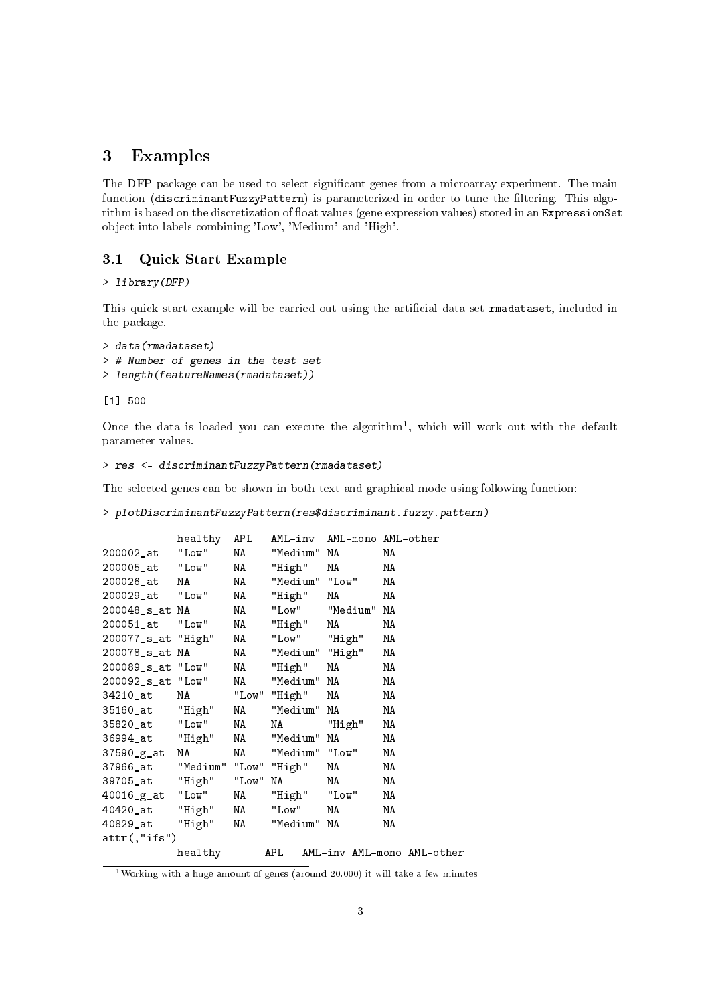## 3 Examples

The DFP package can be used to select significant genes from a microarray experiment. The main function (discriminantFuzzyPattern) is parameterized in order to tune the filtering. This algorithm is based on the discretization of float values (gene expression values) stored in an ExpressionSet object into labels combining 'Low', 'Medium' and 'High'.

#### 3.1 Quick Start Example

#### > library(DFP)

This quick start example will be carried out using the artificial data set rmadataset, included in the package.

```
> data(rmadataset)
> # Number of genes in the test set
> length(featureNames(rmadataset))
```
[1] 500

Once the data is loaded you can execute the algorithm<sup>1</sup>, which will work out with the default parameter values.

```
> res <- discriminantFuzzyPattern(rmadataset)
```
The selected genes can be shown in both text and graphical mode using following function:

> plotDiscriminantFuzzyPattern(res\$discriminant.fuzzy.pattern)

|                                | healthy APL |          |                   |                                                                                                                | AML-inv AML-mono AML-other |
|--------------------------------|-------------|----------|-------------------|----------------------------------------------------------------------------------------------------------------|----------------------------|
| 200002_at "Low"                |             | NA 1999. | "Medium" NA       |                                                                                                                | ΝA                         |
| 200005_at  "Low"               |             | NA 1988. | "High"            | NA                                                                                                             | ΝA                         |
| 200026_at NA                   |             | NA 1988. | "Medium" "Low"    |                                                                                                                | ΝA                         |
| 200029_at  "Low"               |             |          | NA "High"         | NA 1993.                                                                                                       | ΝA                         |
| 200048_s_at NA                 |             | NA       |                   | "Low" "Medium"                                                                                                 | NA                         |
| 200051 at "Low"                |             |          | NA "High"         | NA                                                                                                             | ΝA                         |
| 200077_s_at "High"             |             | NA       | "Low" "High"      |                                                                                                                | ΝA                         |
| 200078_s_at NA                 |             | NA 1988. | "Medium" "High"   |                                                                                                                | ΝA                         |
| 200089_s_at "Low"              |             |          | NA "High"         | NA NA                                                                                                          | ΝA                         |
| 200092_s_at "Low"              |             | NA 1988. | "Medium" NA       |                                                                                                                | ΝA                         |
| 34210_at                       | NA          |          | "Low" "High"      | NA 1999 NASA 1999 NASA 1999 NASA 1999 NASA 1999 NASA 1999 NASA 1999 NASA 1999 NASA 1999 NASA 1999 NASA 1999 NA | NA                         |
| 35160_at "High"                |             |          | NA "Medium" NA    |                                                                                                                | ΝA                         |
| 35820_at "Low"                 |             | NA 1988. | NA "High"         |                                                                                                                | ΝA                         |
| 36994_at "High"                |             | NA 1989. | "Medium" NA       |                                                                                                                | ΝA                         |
| 37590_g_at                     | NA          |          | NA "Medium" "Low" |                                                                                                                | ΝA                         |
| 37966_at "Medium" "Low" "High" |             |          |                   | NA                                                                                                             | ΝA                         |
| 39705_at "High" "Low" NA       |             |          |                   | NA 1999.                                                                                                       | NA                         |
| 40016_g_at "Low"               |             |          | NA "High" "Low"   |                                                                                                                | ΝA                         |
| 40420_at "High"                |             | NA 1939. | "Low"             | NA 1939.                                                                                                       | ΝA                         |
| 40829_at "High" NA             |             |          | "Medium" NA       |                                                                                                                | ΝA                         |
| $attr(,"$ ifs")                |             |          |                   |                                                                                                                |                            |
|                                | healthy     |          | APL               |                                                                                                                | AML-inv AML-mono AML-other |

<sup>&</sup>lt;sup>1</sup>Working with a huge amount of genes (around 20.000) it will take a few minutes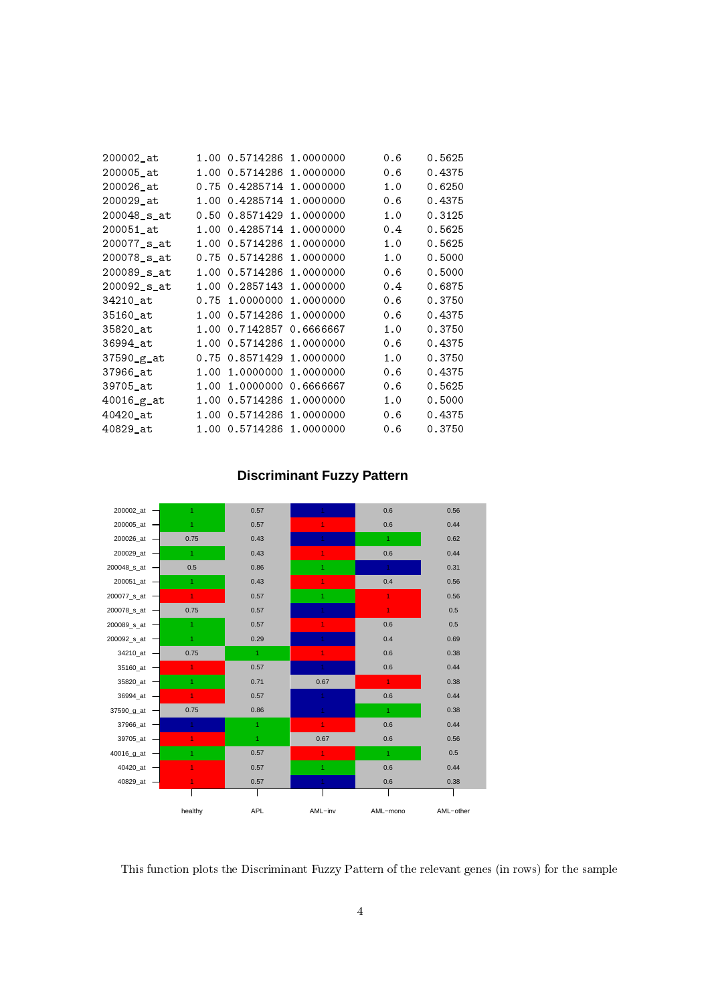| 200002_at      |      | 1.00 0.5714286 | 1.0000000 | 0.6 | 0.5625 |
|----------------|------|----------------|-----------|-----|--------|
| 200005_at      |      | 1.00 0.5714286 | 1.0000000 | 0.6 | 0.4375 |
| 200026 at      |      | 0.75 0.4285714 | 1,0000000 | 1.0 | 0.6250 |
| 200029 at      |      | 1.00 0.4285714 | 1.0000000 | 0.6 | 0.4375 |
| 200048 s at    |      | 0.50 0.8571429 | 1.0000000 | 1.0 | 0.3125 |
| 200051 at      |      | 1.00 0.4285714 | 1.0000000 | 0.4 | 0.5625 |
| 200077_s_at    |      | 1.00 0.5714286 | 1.0000000 | 1.0 | 0.5625 |
| 200078 s at    |      | 0.75 0.5714286 | 1.0000000 | 1.0 | 0.5000 |
| 200089_s_at    |      | 1.00 0.5714286 | 1.0000000 | 0.6 | 0.5000 |
| 200092 s at    |      | 1.00 0.2857143 | 1.0000000 | 0.4 | 0.6875 |
| 34210_at       | 0.75 | 1.0000000      | 1.0000000 | 0.6 | 0.3750 |
| 35160_at       |      | 1.00 0.5714286 | 1.0000000 | 0.6 | 0.4375 |
| 35820 at       |      | 1.00 0.7142857 | 0.6666667 | 1.0 | 0.3750 |
| 36994 at       |      | 1.00 0.5714286 | 1.0000000 | 0.6 | 0.4375 |
| 37590_g_at     |      | 0.75 0.8571429 | 1.0000000 | 1.0 | 0.3750 |
| 37966 at       | 1.00 | 1.0000000      | 1.0000000 | 0.6 | 0.4375 |
| 39705_at       | 1.00 | 1.0000000      | 0.6666667 | 0.6 | 0.5625 |
| $40016-g_{at}$ | 1.00 | 0.5714286      | 1.0000000 | 1.0 | 0.5000 |
| 40420_at       |      | 1.00 0.5714286 | 1.0000000 | 0.6 | 0.4375 |
| 40829 at       |      | 1.00 0.5714286 | 1,0000000 | 0.6 | 0.3750 |
|                |      |                |           |     |        |

# **Discriminant Fuzzy Pattern**



This function plots the Discriminant Fuzzy Pattern of the relevant genes (in rows) for the sample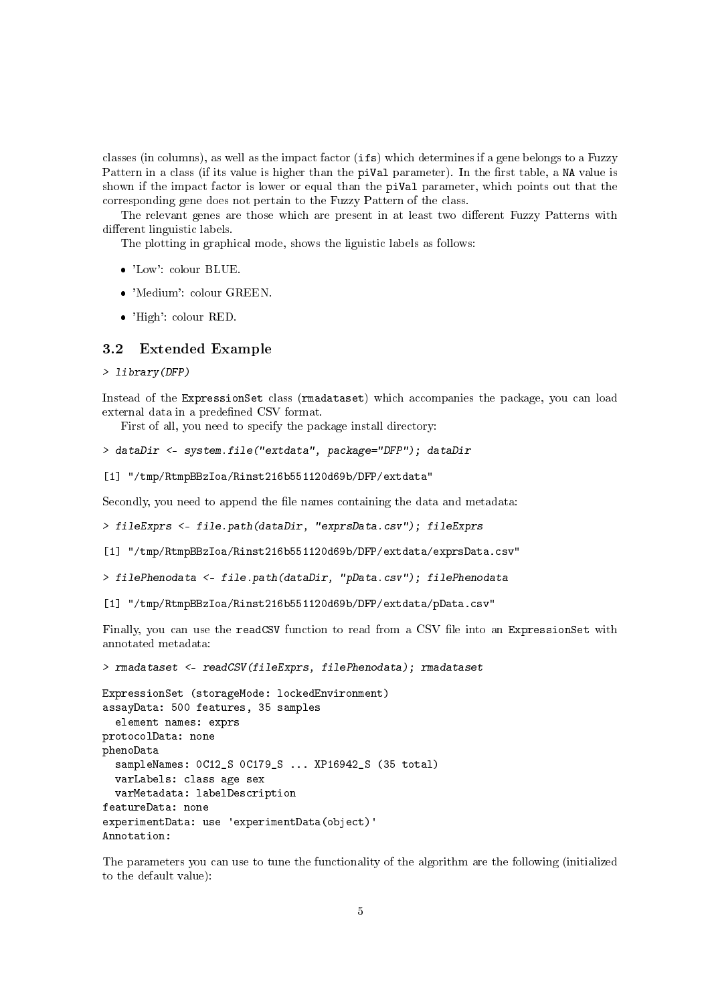classes (in columns), as well as the impact factor (ifs) which determines if a gene belongs to a Fuzzy Pattern in a class (if its value is higher than the piVal parameter). In the first table, a NA value is shown if the impact factor is lower or equal than the piVal parameter, which points out that the corresponding gene does not pertain to the Fuzzy Pattern of the class.

The relevant genes are those which are present in at least two different Fuzzy Patterns with different linguistic labels.

The plotting in graphical mode, shows the liguistic labels as follows:

- 'Low': colour BLUE.
- 'Medium': colour GREEN.
- 'High': colour RED.

#### 3.2 Extended Example

> library(DFP)

Instead of the ExpressionSet class (rmadataset) which accompanies the package, you can load external data in a predefined CSV format.

First of all, you need to specify the package install directory:

```
> dataDir <- system.file("extdata", package="DFP"); dataDir
```

```
[1] "/tmp/RtmpBBzIoa/Rinst216b551120d69b/DFP/extdata"
```
Secondly, you need to append the file names containing the data and metadata:

```
> fileExprs <- file.path(dataDir, "exprsData.csv"); fileExprs
```
- [1] "/tmp/RtmpBBzIoa/Rinst216b551120d69b/DFP/extdata/exprsData.csv"
- > filePhenodata <- file.path(dataDir, "pData.csv"); filePhenodata
- [1] "/tmp/RtmpBBzIoa/Rinst216b551120d69b/DFP/extdata/pData.csv"

Finally, you can use the readCSV function to read from a CSV file into an ExpressionSet with annotated metadata:

> rmadataset <- readCSV(fileExprs, filePhenodata); rmadataset

```
ExpressionSet (storageMode: lockedEnvironment)
assayData: 500 features, 35 samples
  element names: exprs
protocolData: none
phenoData
  sampleNames: 0C12_S 0C179_S ... XP16942_S (35 total)
 varLabels: class age sex
 varMetadata: labelDescription
featureData: none
experimentData: use 'experimentData(object)'
Annotation:
```
The parameters you can use to tune the functionality of the algorithm are the following (initialized to the default value):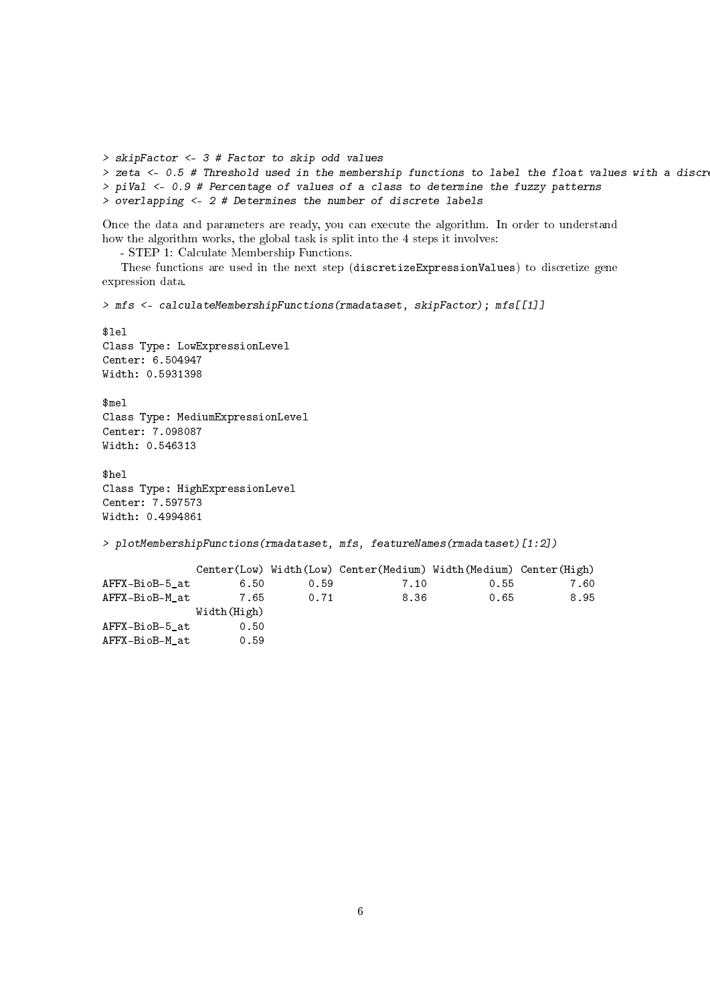```
> skipFactor <- 3 # Factor to skip odd values
> zeta <- 0.5 # Threshold used in the membership functions to label the float values with a discr
> piVal <- 0.9 # Percentage of values of a class to determine the fuzzy patterns
> overlapping <- 2 # Determines the number of discrete labels
```
Once the data and parameters are ready, you can execute the algorithm. In order to understand how the algorithm works, the global task is split into the 4 steps it involves:

- STEP 1: Calculate Membership Functions.

These functions are used in the next step (discretizeExpressionValues) to discretize gene expression data.

> mfs <- calculateMembershipFunctions(rmadataset, skipFactor); mfs[[1]]

```
$lel
Class Type: LowExpressionLevel
Center: 6.504947
Width: 0.5931398
$mel
Class Type: MediumExpressionLevel
Center: 7.098087
Width: 0.546313
$hel
Class Type: HighExpressionLevel
```
Center: 7.597573 Width: 0.4994861

> plotMembershipFunctions(rmadataset, mfs, featureNames(rmadataset)[1:2])

|                |             |      | Center(Low) Width(Low) Center(Medium) Width(Medium) Center(High) |      |      |
|----------------|-------------|------|------------------------------------------------------------------|------|------|
| AFFX-BioB-5 at | 6.50        | 0.59 | 7.10                                                             | 0.55 | 7.60 |
| AFFX-BioB-M at | 7.65        | 0.71 | 8.36                                                             | 0.65 | 8.95 |
|                | Width(High) |      |                                                                  |      |      |
| AFFX-BioB-5 at | 0.50        |      |                                                                  |      |      |
| AFFX-BioB-M at | 0.59        |      |                                                                  |      |      |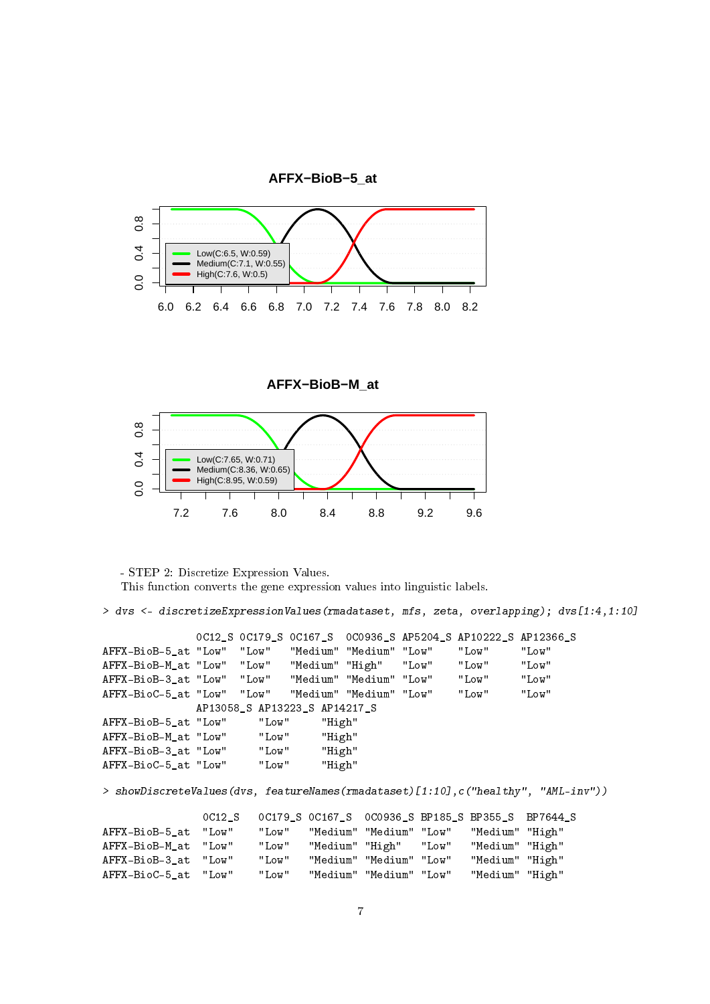

**AFFX−BioB−M\_at**



- STEP 2: Discretize Expression Values. This function converts the gene expression values into linguistic labels.

> dvs <- discretizeExpressionValues(rmadataset, mfs, zeta, overlapping); dvs[1:4,1:10]

0C12\_S 0C179\_S 0C167\_S 0C0936\_S AP5204\_S AP10222\_S AP12366\_S<br>AFFX-BioB-5\_at "Low" "Low" "Medium" "Medium" "Low" "Low" "Low" "Low" "Medium" "Medium" "Low" "Low" "Low"<br>"Medium" "High" "Low" "Low" "Low" AFFX-BioB-M\_at "Low" "Low" "Medium" "High" "Low" "Low" "Low" "Low" "Low" |<br>AFFX-BioB-3 at "Low" "Low" "Medium" "Medium" "Low" "Low" "Low" AFFX-BioB-3\_at "Low" "Low" "Medium" "Medium" "Low" "Low" "Low" AFFX-BioC-5\_at "Low" "Low" "Medium" "Medium" "Low" "Low" "Low" AP13058\_S AP13223\_S AP14217\_S AFFX-BioB-5\_at "Low" "Low" "High" AFFX-BioB-M\_at "Low" "Low" "High" AFFX-BioB-3\_at "Low" "Low" "High" AFFX-BioC-5\_at "Low" "Low" "High"

> showDiscreteValues(dvs, featureNames(rmadataset)[1:10],c("healthy", "AML-inv"))

|                      | OC12 S |       | OC179 S OC167 S OC0936 S BP185 S BP355 S BP7644 S |                 |  |
|----------------------|--------|-------|---------------------------------------------------|-----------------|--|
| AFFX-BioB-5 at "Low" |        | "Low" | "Medium" "Medium" "Low"                           | "Medium" "High" |  |
| AFFX-BioB-M at "Low" |        | "Low" | "Medium" "High" "Low"                             | "Medium" "High" |  |
| AFFX-BioB-3 at "Low" |        | "Low" | "Medium" "Medium" "Low"                           | "Medium" "High" |  |
| AFFX-BioC-5 at "Low" |        | "Low" | "Medium" "Medium" "Low"                           | "Medium" "High" |  |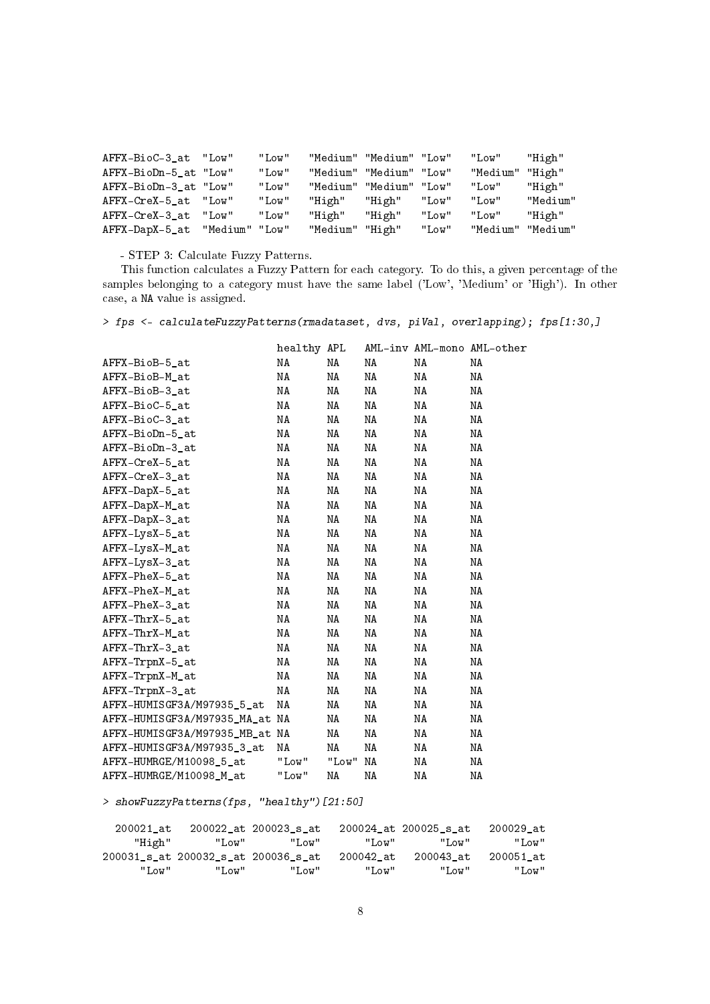| AFFX-BioC-3 at "Low"  |                | "Low" |                 | "Medium" "Medium" "Low" |       | "Low"    | "High"   |
|-----------------------|----------------|-------|-----------------|-------------------------|-------|----------|----------|
| AFFX-BioDn-5 at "Low" |                | "Low" | "Medium"        | "Medium" "Low"          |       | "Medium" | "High"   |
| AFFX-BioDn-3 at "Low" |                | "Low" | "Medium"        | "Medium" "Low"          |       | "Low"    | "High"   |
| AFFX-CreX-5 at "Low"  |                | "Low" | "High"          | "High"                  | "Low" | "Low"    | "Medium" |
| AFFX-CreX-3 at        | "Low"          | "Low" | "High"          | "High"                  | "Low" | "Low"    | "High"   |
| AFFX-DapX-5_at        | "Medium" "Low" |       | "Medium" "High" |                         | "Low" | "Medium" | "Medium" |

- STEP 3: Calculate Fuzzy Patterns.

This function calculates a Fuzzy Pattern for each category. To do this, a given percentage of the samples belonging to a category must have the same label ('Low', 'Medium' or 'High'). In other case, a NA value is assigned.

> fps <- calculateFuzzyPatterns(rmadataset, dvs, piVal, overlapping); fps[1:30,]

|                                | healthy APL |       |    |    | AML-inv AML-mono AML-other |
|--------------------------------|-------------|-------|----|----|----------------------------|
| AFFX-BioB-5_at                 | NA          | ΝA    | ΝA | NA | ΝA                         |
| AFFX-BioB-M at                 | NA          | NA    | ΝA | NA | ΝA                         |
| AFFX-BioB-3 at                 | NA          | ΝA    | ΝA | NA | ΝA                         |
| AFFX-BioC-5 at                 | NA          | ΝA    | ΝA | NA | ΝA                         |
| AFFX-BioC-3_at                 | NA          | ΝA    | ΝA | ΝA | ΝA                         |
| AFFX-BioDn-5_at                | NA          | ΝA    | ΝA | NA | ΝA                         |
| AFFX-BioDn-3_at                | NA          | NA    | NA | NA | ΝA                         |
| AFFX-CreX-5 at                 | NA          | ΝA    | ΝA | NA | ΝA                         |
| AFFX-CreX-3_at                 | NA          | NA    | ΝA | NA | ΝA                         |
| AFFX-DapX-5_at                 | NA          | NA    | ΝA | NA | ΝA                         |
| AFFX-DapX-M_at                 | NA          | NA    | NA | NA | ΝA                         |
| AFFX-DapX-3_at                 | NA          | NA    | ΝA | NA | ΝA                         |
| AFFX-LysX-5_at                 | NA          | ΝA    | ΝA | ΝA | ΝA                         |
| AFFX-LysX-M_at                 | NA          | ΝA    | ΝA | ΝA | ΝA                         |
| AFFX-LysX-3_at                 | NA          | ΝA    | ΝA | NA | ΝA                         |
| AFFX-PheX-5_at                 | NA          | ΝA    | ΝA | NA | ΝA                         |
| AFFX-PheX-M at                 | NA          | ΝA    | ΝA | NA | ΝA                         |
| AFFX-PheX-3 at                 | NA          | ΝA    | ΝA | NA | ΝA                         |
| $AFFX-ThrX-5_at$               | NA          | NA    | ΝA | NA | ΝA                         |
| AFFX-ThrX-M at                 | NA          | NA    | ΝA | NA | ΝA                         |
| AFFX-ThrX-3_at                 | NA          | ΝA    | ΝA | NA | ΝA                         |
| AFFX-TrpnX-5_at                | NA          | ΝA    | ΝA | NA | ΝA                         |
| AFFX-TrpnX-M_at                | NA          | ΝA    | ΝA | NA | ΝA                         |
| AFFX-TrpnX-3_at                | ΝA          | ΝA    | ΝA | ΝA | ΝA                         |
| AFFX-HUMISGF3A/M97935_5_at     | NA          | NA    | NA | NA | ΝA                         |
| AFFX-HUMISGF3A/M97935_MA_at NA |             | NA    | NA | NA | ΝA                         |
| AFFX-HUMISGF3A/M97935_MB_at NA |             | NA    | NA | NA | ΝA                         |
| AFFX-HUMISGF3A/M97935 3 at     | ΝA          | NA    | NA | NA | ΝA                         |
| AFFX-HUMRGE/M10098 5 at        | "Low"       | "Low" | NA | NA | ΝA                         |
| AFFX-HUMRGE/M10098_M_at        | "Low"       | ΝA    | NA | ΝA | ΝA                         |

> showFuzzyPatterns(fps, "healthy")[21:50]

| 200029 at | 200024 at 200025 s at |           | 200022 at 200023 s at               |       | 200021 at |
|-----------|-----------------------|-----------|-------------------------------------|-------|-----------|
| "Low"     | "Low"                 | "Low"     | "Low"                               | "Low" | "High"    |
| 200051 at | 200043 at             | 200042 at | 200031_s_at 200032_s_at 200036_s_at |       |           |
| "Low"     | "Low"                 | "Low"     | "Low"                               | "Low" | "Low"     |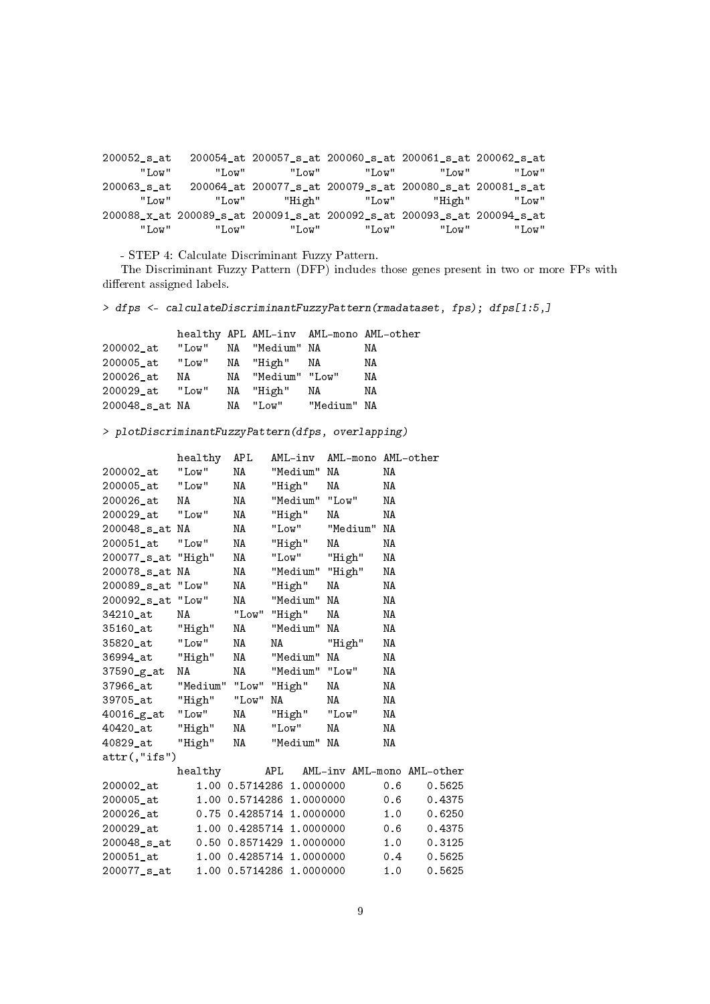200052\_s\_at 200054\_at 200057\_s\_at 200060\_s\_at 200061\_s\_at 200062\_s\_at "Low" "Low" "Low" "Low" "Low" "Low" 200063\_s\_at 200064\_at 200077\_s\_at 200079\_s\_at 200080\_s\_at 200081\_s\_at "Low" "Low" "High" "Low" "High" "Low" 200088\_x\_at 200089\_s\_at 200091\_s\_at 200092\_s\_at 200093\_s\_at 200094\_s\_at<br>"Low" "Low" "Low" "Low" "Low" "Low" "Low" "Low" "Low" "Low" "Low" "Low"

- STEP 4: Calculate Discriminant Fuzzy Pattern.

The Discriminant Fuzzy Pattern (DFP) includes those genes present in two or more FPs with different assigned labels.

> dfps <- calculateDiscriminantFuzzyPattern(rmadataset, fps); dfps[1:5,]

|                |       |    |                |             | healthy APL AML-inv AML-mono AML-other |
|----------------|-------|----|----------------|-------------|----------------------------------------|
| 200002 at      | "Low" |    | NA "Medium" NA |             | ΝA                                     |
| 200005_at      | "Low" |    | NA "High" NA   |             | ΝA                                     |
| 200026 at      | NA    | NA | "Medium" "Low" |             | ΝA                                     |
| 200029_at      | "Low" |    | NA "High"      | NA          | ΝA                                     |
| 200048_s_at NA |       |    | NA "Low"       | "Medium" NA |                                        |

> plotDiscriminantFuzzyPattern(dfps, overlapping)

|                    | healthy               | <b>APL</b> | AML-inv                  | AML-mono AML-other |     |                            |
|--------------------|-----------------------|------------|--------------------------|--------------------|-----|----------------------------|
| 200002_at          | "Low"                 | NA         | "Medium"                 | NA                 | ΝA  |                            |
| 200005 at          | "Low"                 | ΝA         | "High"                   | ΝA                 | ΝA  |                            |
| 200026_at          | ΝA                    | ΝA         | "Medium" "Low"           |                    | ΝA  |                            |
| 200029 at          | "Low"                 | NA         | "High"                   | ΝA                 | ΝA  |                            |
| 200048_s_at        | NA                    | NA         | "Low"                    | "Medium"           | ΝA  |                            |
| 200051_at          | "Low"                 | ΝA         | "High"                   | ΝA                 | ΝA  |                            |
| 200077_s_at "High" |                       | NA         | "Low"                    | "High"             | ΝA  |                            |
| 200078 s at        | NA                    | NA         | "Medium"                 | "High"             | ΝA  |                            |
| 200089 s at        | "Low"                 | NA         | "High"                   | NA                 | ΝA  |                            |
| 200092_s_at        | "Low"                 | ΝA         | "Medium"                 | ΝA                 | ΝA  |                            |
| 34210 at           | NA                    | "Low"      | "High"                   | ΝA                 | ΝA  |                            |
| 35160_at           | "High"                | ΝA         | "Medium"                 | ΝA                 | ΝA  |                            |
| 35820 at           | "Low"                 | NA         | ΝA                       | "High"             | ΝA  |                            |
| 36994_at           | "High"                | NA         | "Medium"                 | ΝA                 | ΝA  |                            |
| 37590_g_at         | NA                    | NA         | "Medium" "Low"           |                    | ΝA  |                            |
| 37966_at           | "Medium" "Low" "High" |            |                          | ΝA                 | ΝA  |                            |
| 39705 at           | "High"                | "Low"      | NA                       | NA                 | ΝA  |                            |
| $40016-g_at$       | "Low"                 | ΝA         | "High"                   | "Low"              | NA  |                            |
| 40420_at           | "High"                | NA         | "Low"                    | ΝA                 | ΝA  |                            |
| 40829 at           | "High"                | NA         | "Medium"                 | NA                 | ΝA  |                            |
| $attr(,"$ ifs")    |                       |            |                          |                    |     |                            |
|                    | healthy               |            | APL                      |                    |     | AML-inv AML-mono AML-other |
| 200002_at          |                       |            | 1.00 0.5714286 1.0000000 |                    | 0.6 | 0.5625                     |
| 200005_at          |                       |            | 1.00 0.5714286 1.0000000 |                    | 0.6 | 0.4375                     |
| 200026 at          |                       |            | 0.75 0.4285714 1.0000000 |                    | 1.0 | 0.6250                     |
| 200029 at          |                       |            | 1.00 0.4285714 1.0000000 |                    | 0.6 | 0.4375                     |
| 200048 s at        |                       |            | 0.50 0.8571429 1.0000000 |                    | 1.0 | 0.3125                     |
| 200051 at          |                       |            | 1.00 0.4285714 1.0000000 |                    | 0.4 | 0.5625                     |
| 200077 s at        |                       |            | 1.00 0.5714286 1.0000000 |                    | 1.0 | 0.5625                     |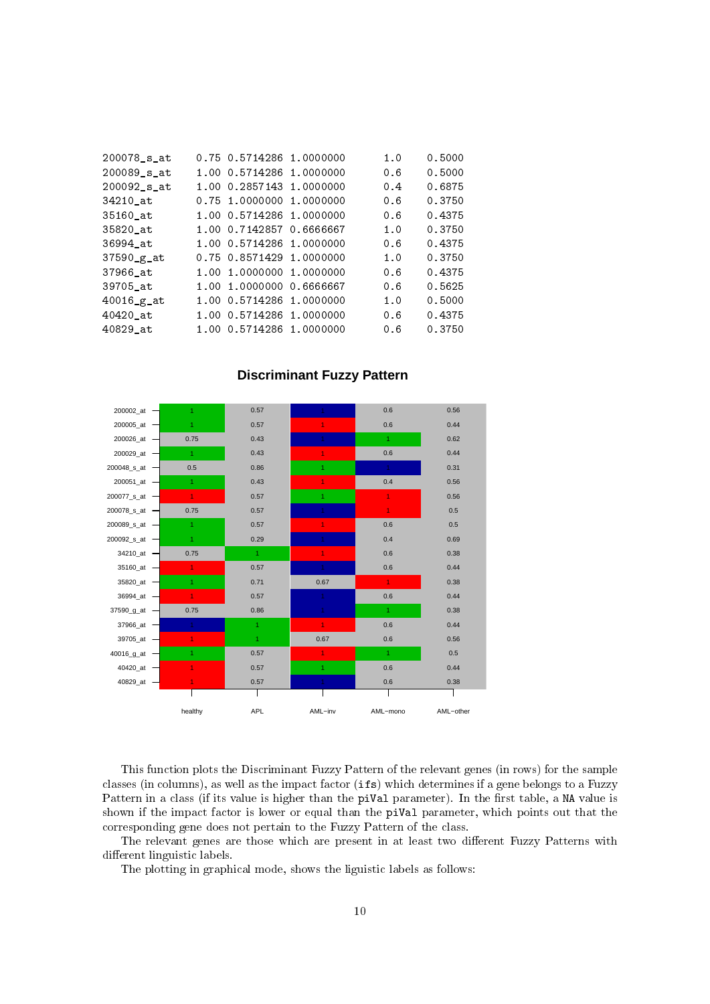| 200078 s at    | 0.75 0.5714286 1.0000000 | 1.0 | 0.5000 |
|----------------|--------------------------|-----|--------|
| 200089 s at    | 1.00 0.5714286 1.0000000 | 0.6 | 0.5000 |
| 200092 s at    | 1.00 0.2857143 1.0000000 | 0.4 | 0.6875 |
| 34210_at       | 0.75 1.0000000 1.0000000 | 0.6 | 0.3750 |
| 35160 at       | 1.00 0.5714286 1.0000000 | 0.6 | 0.4375 |
| 35820 at       | 1.00 0.7142857 0.6666667 | 1.0 | 0.3750 |
| 36994 at       | 1.00 0.5714286 1.0000000 | 0.6 | 0.4375 |
| 37590_g_at     | 0.75 0.8571429 1.0000000 | 1.0 | 0.3750 |
| 37966 at       | 1.00 1.0000000 1.0000000 | 0.6 | 0.4375 |
| 39705 at       | 1.00 1.0000000 0.6666667 | 0.6 | 0.5625 |
| $40016$ $g$ at | 1.00 0.5714286 1.0000000 | 1.0 | 0.5000 |
| $40420$ _at    | 1.00 0.5714286 1.0000000 | 0.6 | 0.4375 |
| 40829 at       | 1.00 0.5714286 1.0000000 | 0.6 | 0.3750 |
|                |                          |     |        |



#### **Discriminant Fuzzy Pattern**

This function plots the Discriminant Fuzzy Pattern of the relevant genes (in rows) for the sample classes (in columns), as well as the impact factor (ifs) which determines if a gene belongs to a Fuzzy Pattern in a class (if its value is higher than the piVal parameter). In the first table, a NA value is shown if the impact factor is lower or equal than the piVal parameter, which points out that the corresponding gene does not pertain to the Fuzzy Pattern of the class.

The relevant genes are those which are present in at least two different Fuzzy Patterns with different linguistic labels.

The plotting in graphical mode, shows the liguistic labels as follows: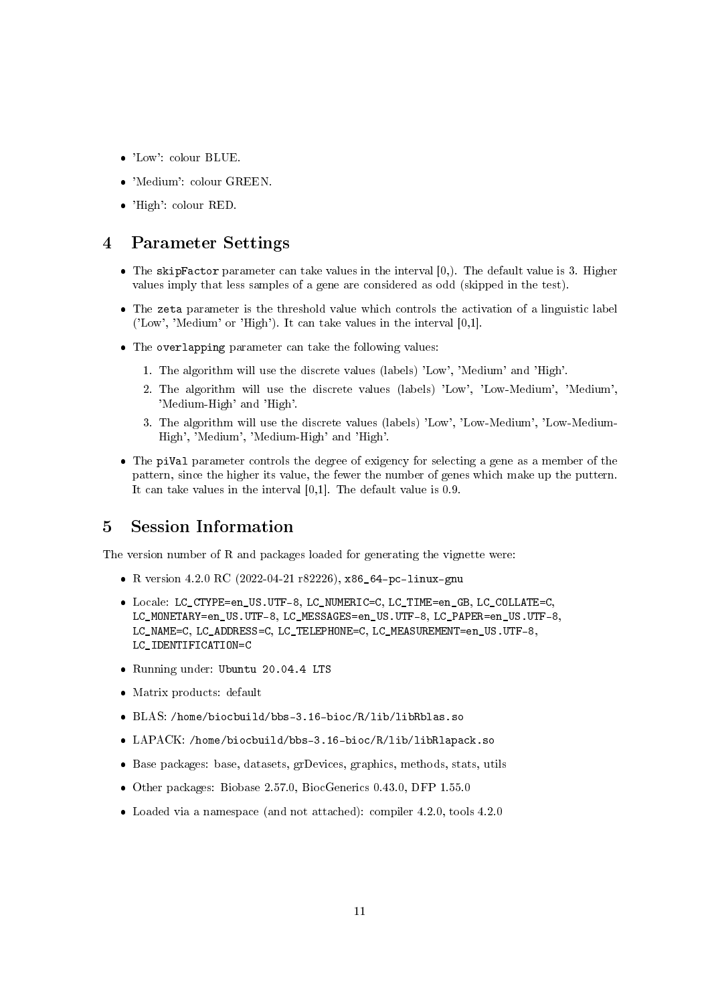- 'Low': colour BLUE.
- 'Medium': colour GREEN.
- 'High': colour RED.

#### 4 Parameter Settings

- The skipFactor parameter can take values in the interval  $[0,$ ). The default value is 3. Higher values imply that less samples of a gene are considered as odd (skipped in the test).
- The zeta parameter is the threshold value which controls the activation of a linguistic label ('Low', 'Medium' or 'High'). It can take values in the interval [0,1].
- The overlapping parameter can take the following values:
	- 1. The algorithm will use the discrete values (labels) 'Low', 'Medium' and 'High'.
	- 2. The algorithm will use the discrete values (labels) 'Low', 'Low-Medium', 'Medium', 'Medium-High' and 'High'.
	- 3. The algorithm will use the discrete values (labels) 'Low', 'Low-Medium', 'Low-Medium-High', 'Medium', 'Medium-High' and 'High'.
- The piVal parameter controls the degree of exigency for selecting a gene as a member of the pattern, since the higher its value, the fewer the number of genes which make up the puttern. It can take values in the interval [0,1]. The default value is 0.9.

### 5 Session Information

The version number of R and packages loaded for generating the vignette were:

- R version 4.2.0 RC (2022-04-21 r82226), x86\_64-pc-linux-gnu
- Locale: LC\_CTYPE=en\_US.UTF-8, LC\_NUMERIC=C, LC\_TIME=en\_GB, LC\_COLLATE=C, LC\_MONETARY=en\_US.UTF-8, LC\_MESSAGES=en\_US.UTF-8, LC\_PAPER=en\_US.UTF-8, LC\_NAME=C, LC\_ADDRESS=C, LC\_TELEPHONE=C, LC\_MEASUREMENT=en\_US.UTF-8, LC\_IDENTIFICATION=C
- Running under: Ubuntu 20.04.4 LTS
- Matrix products: default
- BLAS: /home/biocbuild/bbs-3.16-bioc/R/lib/libRblas.so
- LAPACK: /home/biocbuild/bbs-3.16-bioc/R/lib/libRlapack.so
- Base packages: base, datasets, grDevices, graphics, methods, stats, utils
- Other packages: Biobase 2.57.0, BiocGenerics 0.43.0, DFP 1.55.0
- Loaded via a namespace (and not attached): compiler 4.2.0, tools 4.2.0